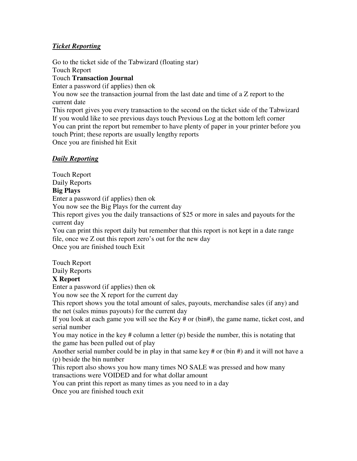## *Ticket Reporting*

Go to the ticket side of the Tabwizard (floating star) Touch Report Touch **Transaction Journal**  Enter a password (if applies) then ok You now see the transaction journal from the last date and time of a Z report to the current date This report gives you every transaction to the second on the ticket side of the Tabwizard If you would like to see previous days touch Previous Log at the bottom left corner You can print the report but remember to have plenty of paper in your printer before you touch Print; these reports are usually lengthy reports Once you are finished hit Exit

### *Daily Reporting*

Touch Report Daily Reports **Big Plays**  Enter a password (if applies) then ok You now see the Big Plays for the current day This report gives you the daily transactions of \$25 or more in sales and payouts for the current day You can print this report daily but remember that this report is not kept in a date range file, once we Z out this report zero's out for the new day Once you are finished touch Exit

Touch Report

Daily Reports

### **X Report**

Enter a password (if applies) then ok

You now see the X report for the current day

This report shows you the total amount of sales, payouts, merchandise sales (if any) and the net (sales minus payouts) for the current day

If you look at each game you will see the Key # or (bin#), the game name, ticket cost, and serial number

You may notice in the key # column a letter (p) beside the number, this is notating that the game has been pulled out of play

Another serial number could be in play in that same key # or (bin #) and it will not have a (p) beside the bin number

This report also shows you how many times NO SALE was pressed and how many transactions were VOIDED and for what dollar amount

You can print this report as many times as you need to in a day

Once you are finished touch exit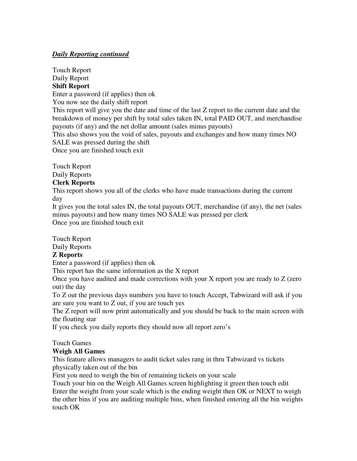### *Daily Reporting continued*

Touch Report Daily Report

## **Shift Report**

Enter a password (if applies) then ok

You now see the daily shift report

This report will give you the date and time of the last Z report to the current date and the breakdown of money per shift by total sales taken IN, total PAID OUT, and merchandise payouts (if any) and the net dollar amount (sales minus payouts)

This also shows you the void of sales, payouts and exchanges and how many times NO SALE was pressed during the shift

Once you are finished touch exit

Touch Report

Daily Reports

### **Clerk Reports**

This report shows you all of the clerks who have made transactions during the current day

It gives you the total sales IN, the total payouts OUT, merchandise (if any), the net (sales minus payouts) and how many times NO SALE was pressed per clerk Once you are finished touch exit

Touch Report

Daily Reports

# **Z Reports**

Enter a password (if applies) then ok

This report has the same information as the X report

Once you have audited and made corrections with your X report you are ready to Z (zero out) the day

To Z out the previous days numbers you have to touch Accept, Tabwizard will ask if you are sure you want to Z out, if you are touch yes

The Z report will now print automatically and you should be back to the main screen with the floating star

If you check you daily reports they should now all report zero's

### Touch Games

# **Weigh All Games**

This feature allows managers to audit ticket sales rang in thru Tabwizard vs tickets physically taken out of the bin

First you need to weigh the bin of remaining tickets on your scale

Touch your bin on the Weigh All Games screen highlighting it green then touch edit Enter the weight from your scale which is the ending weight then OK or NEXT to weigh the other bins if you are auditing multiple bins, when finished entering all the bin weights touch OK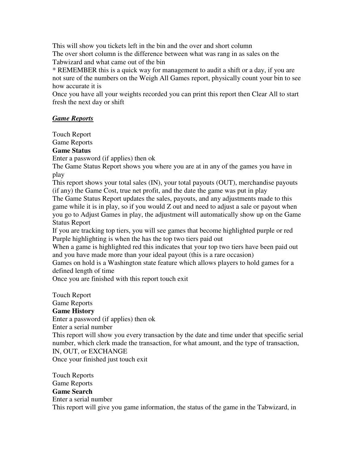This will show you tickets left in the bin and the over and short column

The over short column is the difference between what was rang in as sales on the Tabwizard and what came out of the bin

\* REMEMBER this is a quick way for management to audit a shift or a day, if you are not sure of the numbers on the Weigh All Games report, physically count your bin to see how accurate it is

Once you have all your weights recorded you can print this report then Clear All to start fresh the next day or shift

### *Game Reports*

Touch Report

# Game Reports

# **Game Status**

Enter a password (if applies) then ok

The Game Status Report shows you where you are at in any of the games you have in play

This report shows your total sales (IN), your total payouts (OUT), merchandise payouts (if any) the Game Cost, true net profit, and the date the game was put in play

The Game Status Report updates the sales, payouts, and any adjustments made to this game while it is in play, so if you would Z out and need to adjust a sale or payout when you go to Adjust Games in play, the adjustment will automatically show up on the Game Status Report

If you are tracking top tiers, you will see games that become highlighted purple or red Purple highlighting is when the has the top two tiers paid out

When a game is highlighted red this indicates that your top two tiers have been paid out and you have made more than your ideal payout (this is a rare occasion)

Games on hold is a Washington state feature which allows players to hold games for a defined length of time

Once you are finished with this report touch exit

Touch Report Game Reports **Game History**  Enter a password (if applies) then ok Enter a serial number This report will show you every transaction by the date and time under that specific serial number, which clerk made the transaction, for what amount, and the type of transaction, IN, OUT, or EXCHANGE Once your finished just touch exit

Touch Reports Game Reports **Game Search**  Enter a serial number This report will give you game information, the status of the game in the Tabwizard, in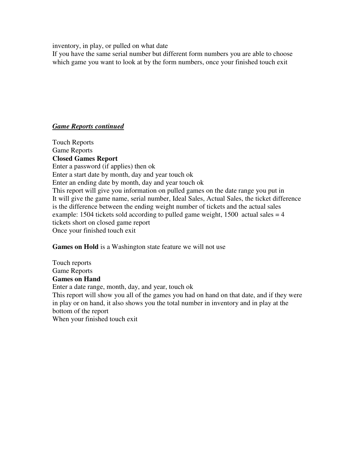inventory, in play, or pulled on what date

If you have the same serial number but different form numbers you are able to choose which game you want to look at by the form numbers, once your finished touch exit

### *Game Reports continued*

Touch Reports Game Reports **Closed Games Report**  Enter a password (if applies) then ok Enter a start date by month, day and year touch ok Enter an ending date by month, day and year touch ok This report will give you information on pulled games on the date range you put in It will give the game name, serial number, Ideal Sales, Actual Sales, the ticket difference is the difference between the ending weight number of tickets and the actual sales example: 1504 tickets sold according to pulled game weight, 1500 actual sales  $= 4$ tickets short on closed game report Once your finished touch exit

**Games on Hold** is a Washington state feature we will not use

Touch reports Game Reports **Games on Hand**  Enter a date range, month, day, and year, touch ok This report will show you all of the games you had on hand on that date, and if they were in play or on hand, it also shows you the total number in inventory and in play at the bottom of the report When your finished touch exit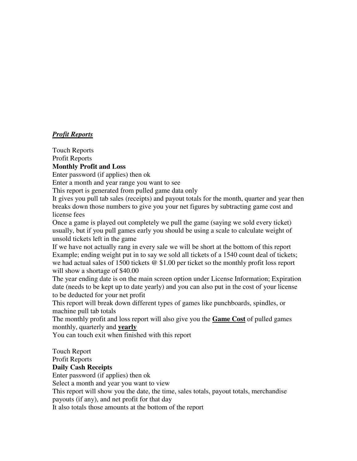## *Profit Reports*

Touch Reports

Profit Reports

# **Monthly Profit and Loss**

Enter password (if applies) then ok

Enter a month and year range you want to see

This report is generated from pulled game data only

It gives you pull tab sales (receipts) and payout totals for the month, quarter and year then breaks down those numbers to give you your net figures by subtracting game cost and license fees

Once a game is played out completely we pull the game (saying we sold every ticket) usually, but if you pull games early you should be using a scale to calculate weight of unsold tickets left in the game

If we have not actually rang in every sale we will be short at the bottom of this report Example; ending weight put in to say we sold all tickets of a 1540 count deal of tickets; we had actual sales of 1500 tickets @ \$1.00 per ticket so the monthly profit loss report will show a shortage of \$40.00

The year ending date is on the main screen option under License Information; Expiration date (needs to be kept up to date yearly) and you can also put in the cost of your license to be deducted for your net profit

This report will break down different types of games like punchboards, spindles, or machine pull tab totals

The monthly profit and loss report will also give you the **Game Cost** of pulled games monthly, quarterly and **yearly**

You can touch exit when finished with this report

Touch Report

Profit Reports

### **Daily Cash Receipts**

Enter password (if applies) then ok

Select a month and year you want to view

This report will show you the date, the time, sales totals, payout totals, merchandise payouts (if any), and net profit for that day

It also totals those amounts at the bottom of the report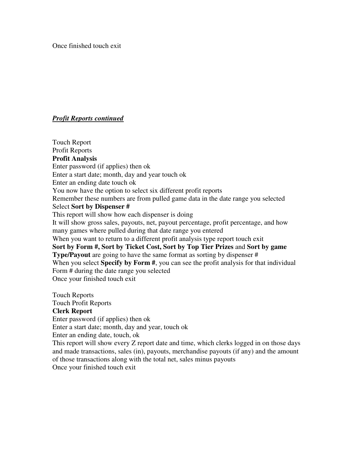Once finished touch exit

### *Profit Reports continued*

Touch Report Profit Reports **Profit Analysis**  Enter password (if applies) then ok Enter a start date; month, day and year touch ok Enter an ending date touch ok You now have the option to select six different profit reports Remember these numbers are from pulled game data in the date range you selected Select **Sort by Dispenser #** This report will show how each dispenser is doing It will show gross sales, payouts, net, payout percentage, profit percentage, and how many games where pulled during that date range you entered When you want to return to a different profit analysis type report touch exit **Sort by Form #, Sort by Ticket Cost, Sort by Top Tier Prizes** and **Sort by game Type/Payout** are going to have the same format as sorting by dispenser # When you select **Specify by Form #**, you can see the profit analysis for that individual Form # during the date range you selected Once your finished touch exit

Touch Reports Touch Profit Reports **Clerk Report**  Enter password (if applies) then ok Enter a start date; month, day and year, touch ok Enter an ending date, touch, ok This report will show every Z report date and time, which clerks logged in on those days and made transactions, sales (in), payouts, merchandise payouts (if any) and the amount of those transactions along with the total net, sales minus payouts Once your finished touch exit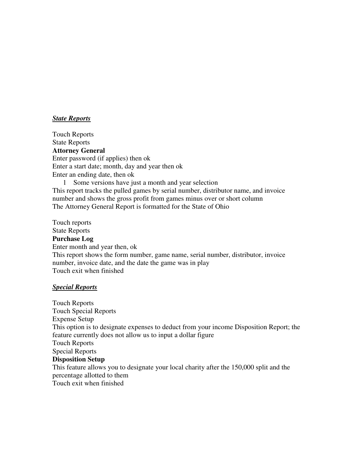### *State Reports*

Touch Reports State Reports **Attorney General**  Enter password (if applies) then ok Enter a start date; month, day and year then ok Enter an ending date, then ok 1 Some versions have just a month and year selection This report tracks the pulled games by serial number, distributor name, and invoice number and shows the gross profit from games minus over or short column The Attorney General Report is formatted for the State of Ohio

Touch reports State Reports **Purchase Log**  Enter month and year then, ok This report shows the form number, game name, serial number, distributor, invoice number, invoice date, and the date the game was in play Touch exit when finished

#### *Special Reports*

Touch Reports Touch Special Reports Expense Setup This option is to designate expenses to deduct from your income Disposition Report; the feature currently does not allow us to input a dollar figure Touch Reports Special Reports **Disposition Setup**  This feature allows you to designate your local charity after the 150,000 split and the percentage allotted to them Touch exit when finished